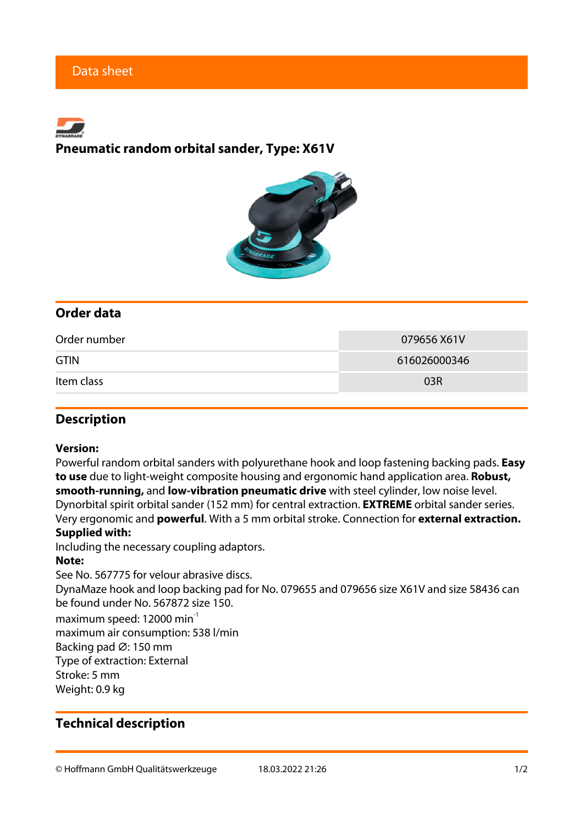# **Pneumatic random orbital sander, Type: X61V**



# **Order data**

| Order number | 079656 X61V  |
|--------------|--------------|
| <b>GTIN</b>  | 616026000346 |
| Item class   | 03R          |

### **Description**

#### **Version:**

Powerful random orbital sanders with polyurethane hook and loop fastening backing pads. **Easy to use** due to light-weight composite housing and ergonomic hand application area. **Robust, smooth-running,** and **low-vibration pneumatic drive** with steel cylinder, low noise level. Dynorbital spirit orbital sander (152 mm) for central extraction. **EXTREME** orbital sander series. Very ergonomic and **powerful**. With a 5 mm orbital stroke. Connection for **external extraction. Supplied with:**

Including the necessary coupling adaptors.

#### **Note:**

See No. 567775 for velour abrasive discs.

DynaMaze hook and loop backing pad for No. 079655 and 079656 size X61V and size 58436 can be found under No. 567872 size 150.

maximum speed: 12000 min<sup>-1</sup>

maximum air consumption: 538 l/min

Backing pad ∅: 150 mm

Type of extraction: External

Stroke: 5 mm

Weight: 0.9 kg

# **Technical description**